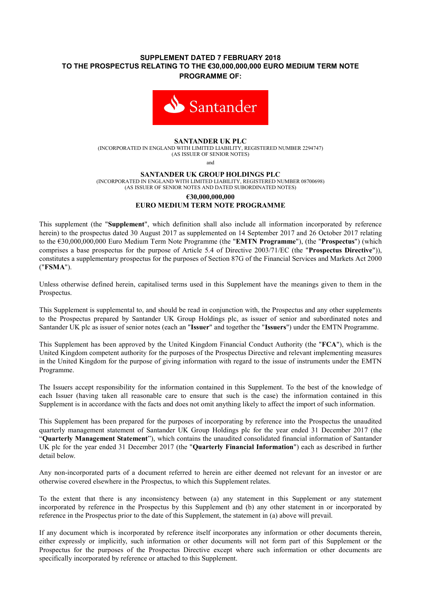# SUPPLEMENT DATED 7 FEBRUARY 2018 TO THE PROSPECTUS RELATING TO THE €30,000,000,000 EURO MEDIUM TERM NOTE PROGRAMME OF:



### SANTANDER UK PLC

(INCORPORATED IN ENGLAND WITH LIMITED LIABILITY, REGISTERED NUMBER 2294747) (AS ISSUER OF SENIOR NOTES)

and

#### SANTANDER UK GROUP HOLDINGS PLC

(INCORPORATED IN ENGLAND WITH LIMITED LIABILITY, REGISTERED NUMBER 08700698) (AS ISSUER OF SENIOR NOTES AND DATED SUBORDINATED NOTES)

#### €30,000,000,000 EURO MEDIUM TERM NOTE PROGRAMME

This supplement (the "Supplement", which definition shall also include all information incorporated by reference herein) to the prospectus dated 30 August 2017 as supplemented on 14 September 2017 and 26 October 2017 relating to the €30,000,000,000 Euro Medium Term Note Programme (the "EMTN Programme"), (the "Prospectus") (which comprises a base prospectus for the purpose of Article 5.4 of Directive 2003/71/EC (the "Prospectus Directive")), constitutes a supplementary prospectus for the purposes of Section 87G of the Financial Services and Markets Act 2000 ("FSMA").

Unless otherwise defined herein, capitalised terms used in this Supplement have the meanings given to them in the Prospectus.

This Supplement is supplemental to, and should be read in conjunction with, the Prospectus and any other supplements to the Prospectus prepared by Santander UK Group Holdings plc, as issuer of senior and subordinated notes and Santander UK plc as issuer of senior notes (each an "Issuer" and together the "Issuers") under the EMTN Programme.

This Supplement has been approved by the United Kingdom Financial Conduct Authority (the "FCA"), which is the United Kingdom competent authority for the purposes of the Prospectus Directive and relevant implementing measures in the United Kingdom for the purpose of giving information with regard to the issue of instruments under the EMTN Programme.

The Issuers accept responsibility for the information contained in this Supplement. To the best of the knowledge of each Issuer (having taken all reasonable care to ensure that such is the case) the information contained in this Supplement is in accordance with the facts and does not omit anything likely to affect the import of such information.

This Supplement has been prepared for the purposes of incorporating by reference into the Prospectus the unaudited quarterly management statement of Santander UK Group Holdings plc for the year ended 31 December 2017 (the "Quarterly Management Statement"), which contains the unaudited consolidated financial information of Santander UK plc for the year ended 31 December 2017 (the "Quarterly Financial Information") each as described in further detail below.

Any non-incorporated parts of a document referred to herein are either deemed not relevant for an investor or are otherwise covered elsewhere in the Prospectus, to which this Supplement relates.

To the extent that there is any inconsistency between (a) any statement in this Supplement or any statement incorporated by reference in the Prospectus by this Supplement and (b) any other statement in or incorporated by reference in the Prospectus prior to the date of this Supplement, the statement in (a) above will prevail.

If any document which is incorporated by reference itself incorporates any information or other documents therein, either expressly or implicitly, such information or other documents will not form part of this Supplement or the Prospectus for the purposes of the Prospectus Directive except where such information or other documents are specifically incorporated by reference or attached to this Supplement.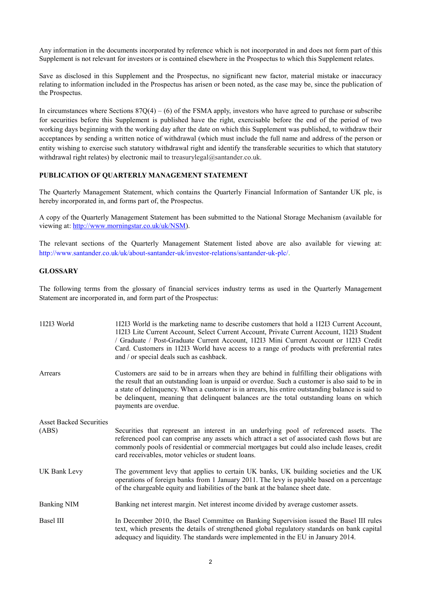Any information in the documents incorporated by reference which is not incorporated in and does not form part of this Supplement is not relevant for investors or is contained elsewhere in the Prospectus to which this Supplement relates.

Save as disclosed in this Supplement and the Prospectus, no significant new factor, material mistake or inaccuracy relating to information included in the Prospectus has arisen or been noted, as the case may be, since the publication of the Prospectus.

In circumstances where Sections  $87Q(4) - (6)$  of the FSMA apply, investors who have agreed to purchase or subscribe for securities before this Supplement is published have the right, exercisable before the end of the period of two working days beginning with the working day after the date on which this Supplement was published, to withdraw their acceptances by sending a written notice of withdrawal (which must include the full name and address of the person or entity wishing to exercise such statutory withdrawal right and identify the transferable securities to which that statutory withdrawal right relates) by electronic mail to treasurylegal@santander.co.uk.

## PUBLICATION OF QUARTERLY MANAGEMENT STATEMENT

The Quarterly Management Statement, which contains the Quarterly Financial Information of Santander UK plc, is hereby incorporated in, and forms part of, the Prospectus.

A copy of the Quarterly Management Statement has been submitted to the National Storage Mechanism (available for viewing at: http://www.morningstar.co.uk/uk/NSM).

The relevant sections of the Quarterly Management Statement listed above are also available for viewing at: http://www.santander.co.uk/uk/about-santander-uk/investor-relations/santander-uk-plc/.

## **GLOSSARY**

The following terms from the glossary of financial services industry terms as used in the Quarterly Management Statement are incorporated in, and form part of the Prospectus:

| 11213 World                    | 11213 World is the marketing name to describe customers that hold a 11213 Current Account,<br>11213 Lite Current Account, Select Current Account, Private Current Account, 11213 Student<br>/ Graduate / Post-Graduate Current Account, 1I2I3 Mini Current Account or 1I2I3 Credit<br>Card. Customers in 11213 World have access to a range of products with preferential rates<br>and / or special deals such as cashback. |
|--------------------------------|-----------------------------------------------------------------------------------------------------------------------------------------------------------------------------------------------------------------------------------------------------------------------------------------------------------------------------------------------------------------------------------------------------------------------------|
| Arrears                        | Customers are said to be in arrears when they are behind in fulfilling their obligations with<br>the result that an outstanding loan is unpaid or overdue. Such a customer is also said to be in<br>a state of delinquency. When a customer is in arrears, his entire outstanding balance is said to<br>be delinquent, meaning that delinquent balances are the total outstanding loans on which<br>payments are overdue.   |
| <b>Asset Backed Securities</b> |                                                                                                                                                                                                                                                                                                                                                                                                                             |
| (ABS)                          | Securities that represent an interest in an underlying pool of referenced assets. The<br>referenced pool can comprise any assets which attract a set of associated cash flows but are<br>commonly pools of residential or commercial mortgages but could also include leases, credit<br>card receivables, motor vehicles or student loans.                                                                                  |
| UK Bank Levy                   | The government levy that applies to certain UK banks, UK building societies and the UK<br>operations of foreign banks from 1 January 2011. The levy is payable based on a percentage<br>of the chargeable equity and liabilities of the bank at the balance sheet date.                                                                                                                                                     |
| <b>Banking NIM</b>             | Banking net interest margin. Net interest income divided by average customer assets.                                                                                                                                                                                                                                                                                                                                        |
| <b>Basel III</b>               | In December 2010, the Basel Committee on Banking Supervision issued the Basel III rules<br>text, which presents the details of strengthened global regulatory standards on bank capital<br>adequacy and liquidity. The standards were implemented in the EU in January 2014.                                                                                                                                                |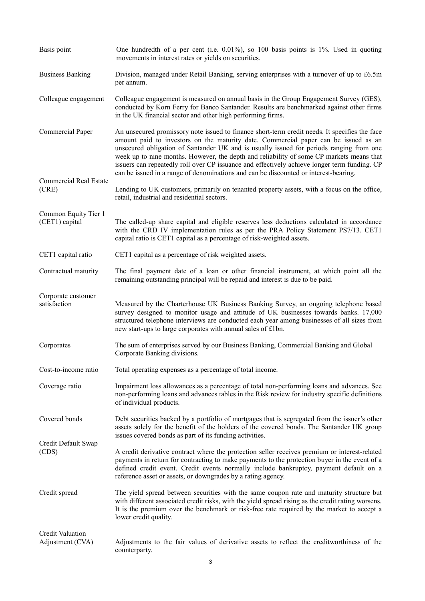| Basis point                            | One hundredth of a per cent (i.e. $0.01\%$ ), so 100 basis points is 1%. Used in quoting<br>movements in interest rates or yields on securities.                                                                                                                                                                                                                                                                                                                                                                                                                    |
|----------------------------------------|---------------------------------------------------------------------------------------------------------------------------------------------------------------------------------------------------------------------------------------------------------------------------------------------------------------------------------------------------------------------------------------------------------------------------------------------------------------------------------------------------------------------------------------------------------------------|
| <b>Business Banking</b>                | Division, managed under Retail Banking, serving enterprises with a turnover of up to £6.5m<br>per annum.                                                                                                                                                                                                                                                                                                                                                                                                                                                            |
| Colleague engagement                   | Colleague engagement is measured on annual basis in the Group Engagement Survey (GES),<br>conducted by Korn Ferry for Banco Santander. Results are benchmarked against other firms<br>in the UK financial sector and other high performing firms.                                                                                                                                                                                                                                                                                                                   |
| Commercial Paper                       | An unsecured promissory note issued to finance short-term credit needs. It specifies the face<br>amount paid to investors on the maturity date. Commercial paper can be issued as an<br>unsecured obligation of Santander UK and is usually issued for periods ranging from one<br>week up to nine months. However, the depth and reliability of some CP markets means that<br>issuers can repeatedly roll over CP issuance and effectively achieve longer term funding. CP<br>can be issued in a range of denominations and can be discounted or interest-bearing. |
| Commercial Real Estate<br>(CRE)        | Lending to UK customers, primarily on tenanted property assets, with a focus on the office,<br>retail, industrial and residential sectors.                                                                                                                                                                                                                                                                                                                                                                                                                          |
| Common Equity Tier 1<br>(CET1) capital | The called-up share capital and eligible reserves less deductions calculated in accordance<br>with the CRD IV implementation rules as per the PRA Policy Statement PS7/13. CET1<br>capital ratio is CET1 capital as a percentage of risk-weighted assets.                                                                                                                                                                                                                                                                                                           |
| CET1 capital ratio                     | CET1 capital as a percentage of risk weighted assets.                                                                                                                                                                                                                                                                                                                                                                                                                                                                                                               |
| Contractual maturity                   | The final payment date of a loan or other financial instrument, at which point all the<br>remaining outstanding principal will be repaid and interest is due to be paid.                                                                                                                                                                                                                                                                                                                                                                                            |
| Corporate customer<br>satisfaction     | Measured by the Charterhouse UK Business Banking Survey, an ongoing telephone based<br>survey designed to monitor usage and attitude of UK businesses towards banks. 17,000<br>structured telephone interviews are conducted each year among businesses of all sizes from<br>new start-ups to large corporates with annual sales of £1bn.                                                                                                                                                                                                                           |
| Corporates                             | The sum of enterprises served by our Business Banking, Commercial Banking and Global<br>Corporate Banking divisions.                                                                                                                                                                                                                                                                                                                                                                                                                                                |
| Cost-to-income ratio                   | Total operating expenses as a percentage of total income.                                                                                                                                                                                                                                                                                                                                                                                                                                                                                                           |
| Coverage ratio                         | Impairment loss allowances as a percentage of total non-performing loans and advances. See<br>non-performing loans and advances tables in the Risk review for industry specific definitions<br>of individual products.                                                                                                                                                                                                                                                                                                                                              |
| Covered bonds                          | Debt securities backed by a portfolio of mortgages that is segregated from the issuer's other<br>assets solely for the benefit of the holders of the covered bonds. The Santander UK group                                                                                                                                                                                                                                                                                                                                                                          |
| Credit Default Swap<br>(CDS)           | issues covered bonds as part of its funding activities.<br>A credit derivative contract where the protection seller receives premium or interest-related<br>payments in return for contracting to make payments to the protection buyer in the event of a<br>defined credit event. Credit events normally include bankruptcy, payment default on a<br>reference asset or assets, or downgrades by a rating agency.                                                                                                                                                  |
| Credit spread                          | The yield spread between securities with the same coupon rate and maturity structure but<br>with different associated credit risks, with the yield spread rising as the credit rating worsens.<br>It is the premium over the benchmark or risk-free rate required by the market to accept a<br>lower credit quality.                                                                                                                                                                                                                                                |
| Credit Valuation<br>Adjustment (CVA)   | Adjustments to the fair values of derivative assets to reflect the creditworthiness of the<br>counterparty.                                                                                                                                                                                                                                                                                                                                                                                                                                                         |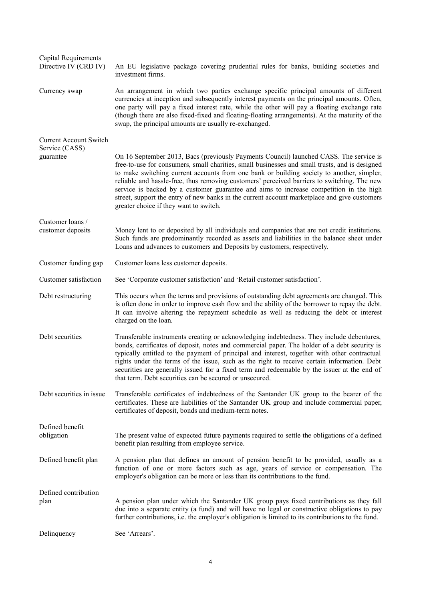| <b>Capital Requirements</b><br>Directive IV (CRD IV)         | An EU legislative package covering prudential rules for banks, building societies and<br>investment firms.                                                                                                                                                                                                                                                                                                                                                                                                                                                                                                               |
|--------------------------------------------------------------|--------------------------------------------------------------------------------------------------------------------------------------------------------------------------------------------------------------------------------------------------------------------------------------------------------------------------------------------------------------------------------------------------------------------------------------------------------------------------------------------------------------------------------------------------------------------------------------------------------------------------|
| Currency swap                                                | An arrangement in which two parties exchange specific principal amounts of different<br>currencies at inception and subsequently interest payments on the principal amounts. Often,<br>one party will pay a fixed interest rate, while the other will pay a floating exchange rate<br>(though there are also fixed-fixed and floating-floating arrangements). At the maturity of the<br>swap, the principal amounts are usually re-exchanged.                                                                                                                                                                            |
| <b>Current Account Switch</b><br>Service (CASS)<br>guarantee | On 16 September 2013, Bacs (previously Payments Council) launched CASS. The service is<br>free-to-use for consumers, small charities, small businesses and small trusts, and is designed<br>to make switching current accounts from one bank or building society to another, simpler,<br>reliable and hassle-free, thus removing customers' perceived barriers to switching. The new<br>service is backed by a customer guarantee and aims to increase competition in the high<br>street, support the entry of new banks in the current account marketplace and give customers<br>greater choice if they want to switch. |
| Customer loans /<br>customer deposits                        | Money lent to or deposited by all individuals and companies that are not credit institutions.<br>Such funds are predominantly recorded as assets and liabilities in the balance sheet under<br>Loans and advances to customers and Deposits by customers, respectively.                                                                                                                                                                                                                                                                                                                                                  |
| Customer funding gap                                         | Customer loans less customer deposits.                                                                                                                                                                                                                                                                                                                                                                                                                                                                                                                                                                                   |
| Customer satisfaction                                        | See 'Corporate customer satisfaction' and 'Retail customer satisfaction'.                                                                                                                                                                                                                                                                                                                                                                                                                                                                                                                                                |
| Debt restructuring                                           | This occurs when the terms and provisions of outstanding debt agreements are changed. This<br>is often done in order to improve cash flow and the ability of the borrower to repay the debt.<br>It can involve altering the repayment schedule as well as reducing the debt or interest<br>charged on the loan.                                                                                                                                                                                                                                                                                                          |
| Debt securities                                              | Transferable instruments creating or acknowledging indebtedness. They include debentures,<br>bonds, certificates of deposit, notes and commercial paper. The holder of a debt security is<br>typically entitled to the payment of principal and interest, together with other contractual<br>rights under the terms of the issue, such as the right to receive certain information. Debt<br>securities are generally issued for a fixed term and redeemable by the issuer at the end of<br>that term. Debt securities can be secured or unsecured.                                                                       |
| Debt securities in issue                                     | Transferable certificates of indebtedness of the Santander UK group to the bearer of the<br>certificates. These are liabilities of the Santander UK group and include commercial paper,<br>certificates of deposit, bonds and medium-term notes.                                                                                                                                                                                                                                                                                                                                                                         |
| Defined benefit<br>obligation                                | The present value of expected future payments required to settle the obligations of a defined<br>benefit plan resulting from employee service.                                                                                                                                                                                                                                                                                                                                                                                                                                                                           |
| Defined benefit plan                                         | A pension plan that defines an amount of pension benefit to be provided, usually as a<br>function of one or more factors such as age, years of service or compensation. The<br>employer's obligation can be more or less than its contributions to the fund.                                                                                                                                                                                                                                                                                                                                                             |
| Defined contribution<br>plan                                 | A pension plan under which the Santander UK group pays fixed contributions as they fall<br>due into a separate entity (a fund) and will have no legal or constructive obligations to pay<br>further contributions, i.e. the employer's obligation is limited to its contributions to the fund.                                                                                                                                                                                                                                                                                                                           |
| Delinquency                                                  | See 'Arrears'.                                                                                                                                                                                                                                                                                                                                                                                                                                                                                                                                                                                                           |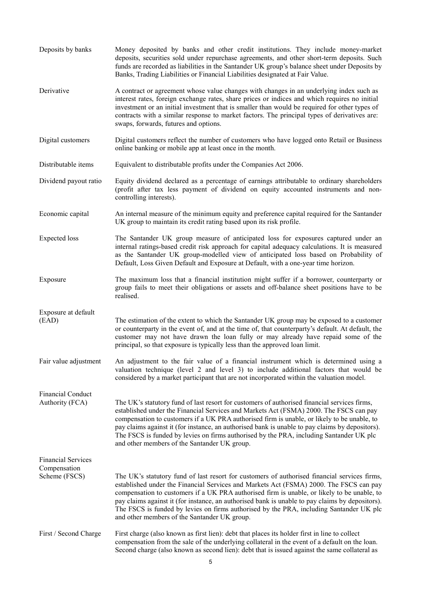| Deposits by banks                    | Money deposited by banks and other credit institutions. They include money-market<br>deposits, securities sold under repurchase agreements, and other short-term deposits. Such<br>funds are recorded as liabilities in the Santander UK group's balance sheet under Deposits by<br>Banks, Trading Liabilities or Financial Liabilities designated at Fair Value.                                                                                                                                                                   |
|--------------------------------------|-------------------------------------------------------------------------------------------------------------------------------------------------------------------------------------------------------------------------------------------------------------------------------------------------------------------------------------------------------------------------------------------------------------------------------------------------------------------------------------------------------------------------------------|
| Derivative                           | A contract or agreement whose value changes with changes in an underlying index such as<br>interest rates, foreign exchange rates, share prices or indices and which requires no initial<br>investment or an initial investment that is smaller than would be required for other types of<br>contracts with a similar response to market factors. The principal types of derivatives are:<br>swaps, forwards, futures and options.                                                                                                  |
| Digital customers                    | Digital customers reflect the number of customers who have logged onto Retail or Business<br>online banking or mobile app at least once in the month.                                                                                                                                                                                                                                                                                                                                                                               |
| Distributable items                  | Equivalent to distributable profits under the Companies Act 2006.                                                                                                                                                                                                                                                                                                                                                                                                                                                                   |
| Dividend payout ratio                | Equity dividend declared as a percentage of earnings attributable to ordinary shareholders<br>(profit after tax less payment of dividend on equity accounted instruments and non-<br>controlling interests).                                                                                                                                                                                                                                                                                                                        |
| Economic capital                     | An internal measure of the minimum equity and preference capital required for the Santander<br>UK group to maintain its credit rating based upon its risk profile.                                                                                                                                                                                                                                                                                                                                                                  |
| <b>Expected</b> loss                 | The Santander UK group measure of anticipated loss for exposures captured under an<br>internal ratings-based credit risk approach for capital adequacy calculations. It is measured<br>as the Santander UK group-modelled view of anticipated loss based on Probability of<br>Default, Loss Given Default and Exposure at Default, with a one-year time horizon.                                                                                                                                                                    |
| Exposure                             | The maximum loss that a financial institution might suffer if a borrower, counterparty or<br>group fails to meet their obligations or assets and off-balance sheet positions have to be<br>realised.                                                                                                                                                                                                                                                                                                                                |
| Exposure at default<br>(EAD)         | The estimation of the extent to which the Santander UK group may be exposed to a customer<br>or counterparty in the event of, and at the time of, that counterparty's default. At default, the<br>customer may not have drawn the loan fully or may already have repaid some of the<br>principal, so that exposure is typically less than the approved loan limit.                                                                                                                                                                  |
| Fair value adjustment                | An adjustment to the fair value of a financial instrument which is determined using a<br>valuation technique (level 2 and level 3) to include additional factors that would be<br>considered by a market participant that are not incorporated within the valuation model.                                                                                                                                                                                                                                                          |
| Financial Conduct<br>Authority (FCA) | The UK's statutory fund of last resort for customers of authorised financial services firms,<br>established under the Financial Services and Markets Act (FSMA) 2000. The FSCS can pay<br>compensation to customers if a UK PRA authorised firm is unable, or likely to be unable, to<br>pay claims against it (for instance, an authorised bank is unable to pay claims by depositors).<br>The FSCS is funded by levies on firms authorised by the PRA, including Santander UK plc<br>and other members of the Santander UK group. |
| <b>Financial Services</b>            |                                                                                                                                                                                                                                                                                                                                                                                                                                                                                                                                     |
| Compensation<br>Scheme (FSCS)        | The UK's statutory fund of last resort for customers of authorised financial services firms,<br>established under the Financial Services and Markets Act (FSMA) 2000. The FSCS can pay<br>compensation to customers if a UK PRA authorised firm is unable, or likely to be unable, to<br>pay claims against it (for instance, an authorised bank is unable to pay claims by depositors).<br>The FSCS is funded by levies on firms authorised by the PRA, including Santander UK plc<br>and other members of the Santander UK group. |
| First / Second Charge                | First charge (also known as first lien): debt that places its holder first in line to collect<br>compensation from the sale of the underlying collateral in the event of a default on the loan.<br>Second charge (also known as second lien): debt that is issued against the same collateral as                                                                                                                                                                                                                                    |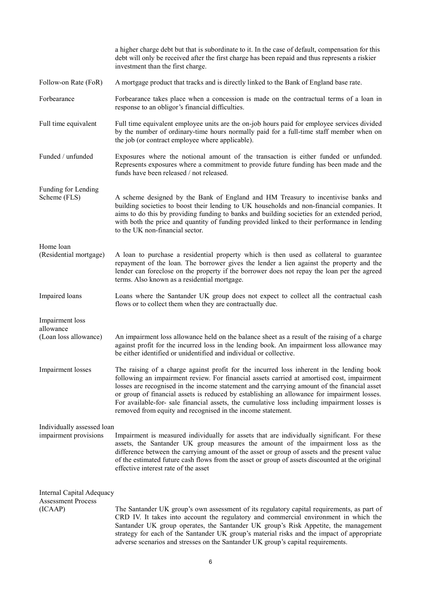|                                                        | a higher charge debt but that is subordinate to it. In the case of default, compensation for this<br>debt will only be received after the first charge has been repaid and thus represents a riskier<br>investment than the first charge.                                                                                                                                                                                                                                                                                                             |
|--------------------------------------------------------|-------------------------------------------------------------------------------------------------------------------------------------------------------------------------------------------------------------------------------------------------------------------------------------------------------------------------------------------------------------------------------------------------------------------------------------------------------------------------------------------------------------------------------------------------------|
| Follow-on Rate (FoR)                                   | A mortgage product that tracks and is directly linked to the Bank of England base rate.                                                                                                                                                                                                                                                                                                                                                                                                                                                               |
| Forbearance                                            | Forbearance takes place when a concession is made on the contractual terms of a loan in<br>response to an obligor's financial difficulties.                                                                                                                                                                                                                                                                                                                                                                                                           |
| Full time equivalent                                   | Full time equivalent employee units are the on-job hours paid for employee services divided<br>by the number of ordinary-time hours normally paid for a full-time staff member when on<br>the job (or contract employee where applicable).                                                                                                                                                                                                                                                                                                            |
| Funded / unfunded                                      | Exposures where the notional amount of the transaction is either funded or unfunded.<br>Represents exposures where a commitment to provide future funding has been made and the<br>funds have been released / not released.                                                                                                                                                                                                                                                                                                                           |
| Funding for Lending<br>Scheme (FLS)                    | A scheme designed by the Bank of England and HM Treasury to incentivise banks and<br>building societies to boost their lending to UK households and non-financial companies. It<br>aims to do this by providing funding to banks and building societies for an extended period,<br>with both the price and quantity of funding provided linked to their performance in lending<br>to the UK non-financial sector.                                                                                                                                     |
| Home loan<br>(Residential mortgage)                    | A loan to purchase a residential property which is then used as collateral to guarantee<br>repayment of the loan. The borrower gives the lender a lien against the property and the<br>lender can foreclose on the property if the borrower does not repay the loan per the agreed<br>terms. Also known as a residential mortgage.                                                                                                                                                                                                                    |
| Impaired loans                                         | Loans where the Santander UK group does not expect to collect all the contractual cash<br>flows or to collect them when they are contractually due.                                                                                                                                                                                                                                                                                                                                                                                                   |
| Impairment loss<br>allowance                           |                                                                                                                                                                                                                                                                                                                                                                                                                                                                                                                                                       |
| (Loan loss allowance)                                  | An impairment loss allowance held on the balance sheet as a result of the raising of a charge<br>against profit for the incurred loss in the lending book. An impairment loss allowance may<br>be either identified or unidentified and individual or collective.                                                                                                                                                                                                                                                                                     |
| Impairment losses                                      | The raising of a charge against profit for the incurred loss inherent in the lending book<br>following an impairment review. For financial assets carried at amortised cost, impairment<br>losses are recognised in the income statement and the carrying amount of the financial asset<br>or group of financial assets is reduced by establishing an allowance for impairment losses.<br>For available-for- sale financial assets, the cumulative loss including impairment losses is<br>removed from equity and recognised in the income statement. |
| Individually assessed loan                             |                                                                                                                                                                                                                                                                                                                                                                                                                                                                                                                                                       |
| impairment provisions                                  | Impairment is measured individually for assets that are individually significant. For these<br>assets, the Santander UK group measures the amount of the impairment loss as the<br>difference between the carrying amount of the asset or group of assets and the present value<br>of the estimated future cash flows from the asset or group of assets discounted at the original<br>effective interest rate of the asset                                                                                                                            |
| Internal Capital Adequacy<br><b>Assessment Process</b> |                                                                                                                                                                                                                                                                                                                                                                                                                                                                                                                                                       |
| (ICAAP)                                                | The Santander UK group's own assessment of its regulatory capital requirements, as part of<br>CRD IV. It takes into account the regulatory and commercial environment in which the<br>Santander UK group operates, the Santander UK group's Risk Appetite, the management<br>strategy for each of the Santander UK group's material risks and the impact of appropriate<br>adverse scenarios and stresses on the Santander UK group's capital requirements.                                                                                           |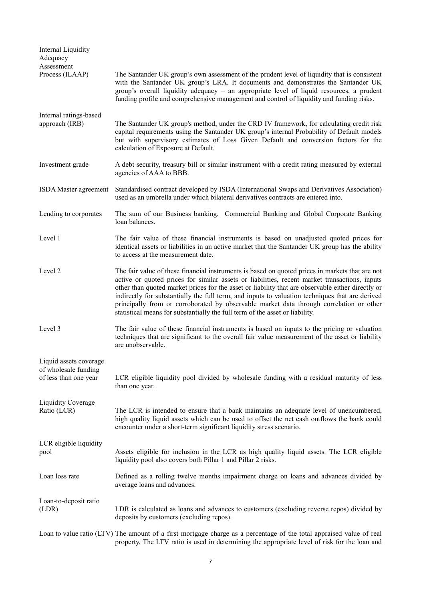| Internal Liquidity<br>Adequacy<br>Assessment                            |                                                                                                                                                                                                                                                                                                                                                                                                                                                                                                                                                                                     |
|-------------------------------------------------------------------------|-------------------------------------------------------------------------------------------------------------------------------------------------------------------------------------------------------------------------------------------------------------------------------------------------------------------------------------------------------------------------------------------------------------------------------------------------------------------------------------------------------------------------------------------------------------------------------------|
| Process (ILAAP)                                                         | The Santander UK group's own assessment of the prudent level of liquidity that is consistent<br>with the Santander UK group's LRA. It documents and demonstrates the Santander UK<br>group's overall liquidity adequacy - an appropriate level of liquid resources, a prudent<br>funding profile and comprehensive management and control of liquidity and funding risks.                                                                                                                                                                                                           |
| Internal ratings-based<br>approach (IRB)                                | The Santander UK group's method, under the CRD IV framework, for calculating credit risk<br>capital requirements using the Santander UK group's internal Probability of Default models<br>but with supervisory estimates of Loss Given Default and conversion factors for the<br>calculation of Exposure at Default.                                                                                                                                                                                                                                                                |
| Investment grade                                                        | A debt security, treasury bill or similar instrument with a credit rating measured by external<br>agencies of AAA to BBB.                                                                                                                                                                                                                                                                                                                                                                                                                                                           |
| ISDA Master agreement                                                   | Standardised contract developed by ISDA (International Swaps and Derivatives Association)<br>used as an umbrella under which bilateral derivatives contracts are entered into.                                                                                                                                                                                                                                                                                                                                                                                                      |
| Lending to corporates                                                   | The sum of our Business banking, Commercial Banking and Global Corporate Banking<br>loan balances.                                                                                                                                                                                                                                                                                                                                                                                                                                                                                  |
| Level 1                                                                 | The fair value of these financial instruments is based on unadjusted quoted prices for<br>identical assets or liabilities in an active market that the Santander UK group has the ability<br>to access at the measurement date.                                                                                                                                                                                                                                                                                                                                                     |
| Level 2                                                                 | The fair value of these financial instruments is based on quoted prices in markets that are not<br>active or quoted prices for similar assets or liabilities, recent market transactions, inputs<br>other than quoted market prices for the asset or liability that are observable either directly or<br>indirectly for substantially the full term, and inputs to valuation techniques that are derived<br>principally from or corroborated by observable market data through correlation or other<br>statistical means for substantially the full term of the asset or liability. |
| Level 3                                                                 | The fair value of these financial instruments is based on inputs to the pricing or valuation<br>techniques that are significant to the overall fair value measurement of the asset or liability<br>are unobservable.                                                                                                                                                                                                                                                                                                                                                                |
| Liquid assets coverage<br>of wholesale funding<br>of less than one year | LCR eligible liquidity pool divided by wholesale funding with a residual maturity of less<br>than one year.                                                                                                                                                                                                                                                                                                                                                                                                                                                                         |
| <b>Liquidity Coverage</b><br>Ratio (LCR)                                | The LCR is intended to ensure that a bank maintains an adequate level of unencumbered,<br>high quality liquid assets which can be used to offset the net cash outflows the bank could<br>encounter under a short-term significant liquidity stress scenario.                                                                                                                                                                                                                                                                                                                        |
| LCR eligible liquidity<br>pool                                          | Assets eligible for inclusion in the LCR as high quality liquid assets. The LCR eligible<br>liquidity pool also covers both Pillar 1 and Pillar 2 risks.                                                                                                                                                                                                                                                                                                                                                                                                                            |
| Loan loss rate                                                          | Defined as a rolling twelve months impairment charge on loans and advances divided by<br>average loans and advances.                                                                                                                                                                                                                                                                                                                                                                                                                                                                |
| Loan-to-deposit ratio<br>(LDR)                                          | LDR is calculated as loans and advances to customers (excluding reverse repos) divided by<br>deposits by customers (excluding repos).                                                                                                                                                                                                                                                                                                                                                                                                                                               |
|                                                                         | Loan to value ratio (LTV) The amount of a first mortgage charge as a percentage of the total appraised value of real                                                                                                                                                                                                                                                                                                                                                                                                                                                                |

7

property. The LTV ratio is used in determining the appropriate level of risk for the loan and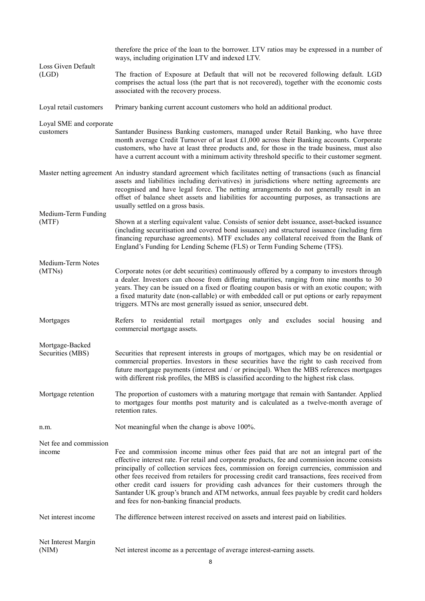|                                     | therefore the price of the loan to the borrower. LTV ratios may be expressed in a number of<br>ways, including origination LTV and indexed LTV.                                                                                                                                                                                                                                                                                                                                                                                                                                                                            |
|-------------------------------------|----------------------------------------------------------------------------------------------------------------------------------------------------------------------------------------------------------------------------------------------------------------------------------------------------------------------------------------------------------------------------------------------------------------------------------------------------------------------------------------------------------------------------------------------------------------------------------------------------------------------------|
| Loss Given Default<br>(LGD)         | The fraction of Exposure at Default that will not be recovered following default. LGD<br>comprises the actual loss (the part that is not recovered), together with the economic costs<br>associated with the recovery process.                                                                                                                                                                                                                                                                                                                                                                                             |
| Loyal retail customers              | Primary banking current account customers who hold an additional product.                                                                                                                                                                                                                                                                                                                                                                                                                                                                                                                                                  |
| Loyal SME and corporate             |                                                                                                                                                                                                                                                                                                                                                                                                                                                                                                                                                                                                                            |
| customers                           | Santander Business Banking customers, managed under Retail Banking, who have three<br>month average Credit Turnover of at least £1,000 across their Banking accounts. Corporate<br>customers, who have at least three products and, for those in the trade business, must also<br>have a current account with a minimum activity threshold specific to their customer segment.                                                                                                                                                                                                                                             |
|                                     | Master netting agreement An industry standard agreement which facilitates netting of transactions (such as financial<br>assets and liabilities including derivatives) in jurisdictions where netting agreements are<br>recognised and have legal force. The netting arrangements do not generally result in an<br>offset of balance sheet assets and liabilities for accounting purposes, as transactions are<br>usually settled on a gross basis.                                                                                                                                                                         |
| Medium-Term Funding<br>(MTF)        | Shown at a sterling equivalent value. Consists of senior debt issuance, asset-backed issuance<br>(including securitisation and covered bond issuance) and structured issuance (including firm<br>financing repurchase agreements). MTF excludes any collateral received from the Bank of<br>England's Funding for Lending Scheme (FLS) or Term Funding Scheme (TFS).                                                                                                                                                                                                                                                       |
| Medium-Term Notes<br>(MTNs)         | Corporate notes (or debt securities) continuously offered by a company to investors through<br>a dealer. Investors can choose from differing maturities, ranging from nine months to 30<br>years. They can be issued on a fixed or floating coupon basis or with an exotic coupon; with<br>a fixed maturity date (non-callable) or with embedded call or put options or early repayment<br>triggers. MTNs are most generally issued as senior, unsecured debt.                                                                                                                                                             |
| Mortgages                           | Refers to residential retail mortgages only and excludes social housing and<br>commercial mortgage assets.                                                                                                                                                                                                                                                                                                                                                                                                                                                                                                                 |
| Mortgage-Backed<br>Securities (MBS) | Securities that represent interests in groups of mortgages, which may be on residential or<br>commercial properties. Investors in these securities have the right to cash received from<br>future mortgage payments (interest and / or principal). When the MBS references mortgages<br>with different risk profiles, the MBS is classified according to the highest risk class.                                                                                                                                                                                                                                           |
| Mortgage retention                  | The proportion of customers with a maturing mortgage that remain with Santander. Applied<br>to mortgages four months post maturity and is calculated as a twelve-month average of<br>retention rates.                                                                                                                                                                                                                                                                                                                                                                                                                      |
| n.m.                                | Not meaningful when the change is above 100%.                                                                                                                                                                                                                                                                                                                                                                                                                                                                                                                                                                              |
| Net fee and commission              |                                                                                                                                                                                                                                                                                                                                                                                                                                                                                                                                                                                                                            |
| <i>n</i> come                       | Fee and commission income minus other fees paid that are not an integral part of the<br>effective interest rate. For retail and corporate products, fee and commission income consists<br>principally of collection services fees, commission on foreign currencies, commission and<br>other fees received from retailers for processing credit card transactions, fees received from<br>other credit card issuers for providing cash advances for their customers through the<br>Santander UK group's branch and ATM networks, annual fees payable by credit card holders<br>and fees for non-banking financial products. |
| Net interest income                 | The difference between interest received on assets and interest paid on liabilities.                                                                                                                                                                                                                                                                                                                                                                                                                                                                                                                                       |
| Net Interest Margin<br>(NIM)        | Net interest income as a percentage of average interest-earning assets.                                                                                                                                                                                                                                                                                                                                                                                                                                                                                                                                                    |
|                                     |                                                                                                                                                                                                                                                                                                                                                                                                                                                                                                                                                                                                                            |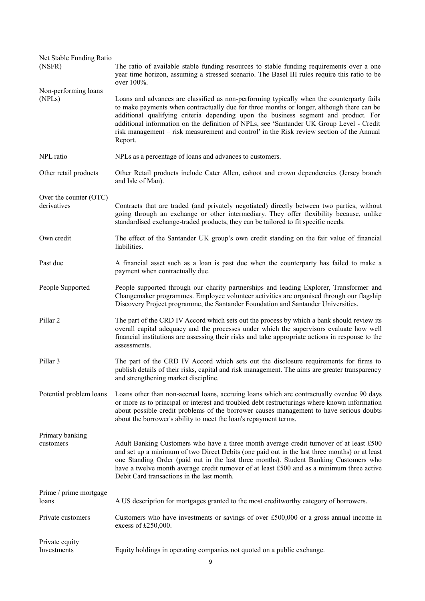| Net Stable Funding Ratio              |                                                                                                                                                                                                                                                                                                                                                                                                                                                                                  |
|---------------------------------------|----------------------------------------------------------------------------------------------------------------------------------------------------------------------------------------------------------------------------------------------------------------------------------------------------------------------------------------------------------------------------------------------------------------------------------------------------------------------------------|
| (NSFR)                                | The ratio of available stable funding resources to stable funding requirements over a one<br>year time horizon, assuming a stressed scenario. The Basel III rules require this ratio to be<br>over 100%.                                                                                                                                                                                                                                                                         |
| Non-performing loans<br>(NPLs)        | Loans and advances are classified as non-performing typically when the counterparty fails<br>to make payments when contractually due for three months or longer, although there can be<br>additional qualifying criteria depending upon the business segment and product. For<br>additional information on the definition of NPLs, see 'Santander UK Group Level - Credit<br>risk management – risk measurement and control' in the Risk review section of the Annual<br>Report. |
| NPL ratio                             | NPLs as a percentage of loans and advances to customers.                                                                                                                                                                                                                                                                                                                                                                                                                         |
| Other retail products                 | Other Retail products include Cater Allen, cahoot and crown dependencies (Jersey branch<br>and Isle of Man).                                                                                                                                                                                                                                                                                                                                                                     |
| Over the counter (OTC)<br>derivatives | Contracts that are traded (and privately negotiated) directly between two parties, without<br>going through an exchange or other intermediary. They offer flexibility because, unlike<br>standardised exchange-traded products, they can be tailored to fit specific needs.                                                                                                                                                                                                      |
| Own credit                            | The effect of the Santander UK group's own credit standing on the fair value of financial<br>liabilities.                                                                                                                                                                                                                                                                                                                                                                        |
| Past due                              | A financial asset such as a loan is past due when the counterparty has failed to make a<br>payment when contractually due.                                                                                                                                                                                                                                                                                                                                                       |
| People Supported                      | People supported through our charity partnerships and leading Explorer, Transformer and<br>Changemaker programmes. Employee volunteer activities are organised through our flagship<br>Discovery Project programme, the Santander Foundation and Santander Universities.                                                                                                                                                                                                         |
| Pillar <sub>2</sub>                   | The part of the CRD IV Accord which sets out the process by which a bank should review its<br>overall capital adequacy and the processes under which the supervisors evaluate how well<br>financial institutions are assessing their risks and take appropriate actions in response to the<br>assessments.                                                                                                                                                                       |
| Pillar 3                              | The part of the CRD IV Accord which sets out the disclosure requirements for firms to<br>publish details of their risks, capital and risk management. The aims are greater transparency<br>and strengthening market discipline.                                                                                                                                                                                                                                                  |
| Potential problem loans               | Loans other than non-accrual loans, accruing loans which are contractually overdue 90 days<br>or more as to principal or interest and troubled debt restructurings where known information<br>about possible credit problems of the borrower causes management to have serious doubts<br>about the borrower's ability to meet the loan's repayment terms.                                                                                                                        |
| Primary banking<br>customers          | Adult Banking Customers who have a three month average credit turnover of at least £500<br>and set up a minimum of two Direct Debits (one paid out in the last three months) or at least<br>one Standing Order (paid out in the last three months). Student Banking Customers who<br>have a twelve month average credit turnover of at least £500 and as a minimum three active<br>Debit Card transactions in the last month.                                                    |
| Prime / prime mortgage<br>loans       | A US description for mortgages granted to the most creditworthy category of borrowers.                                                                                                                                                                                                                                                                                                                                                                                           |
| Private customers                     | Customers who have investments or savings of over $£500,000$ or a gross annual income in<br>excess of $£250,000$ .                                                                                                                                                                                                                                                                                                                                                               |
| Private equity<br>Investments         | Equity holdings in operating companies not quoted on a public exchange.                                                                                                                                                                                                                                                                                                                                                                                                          |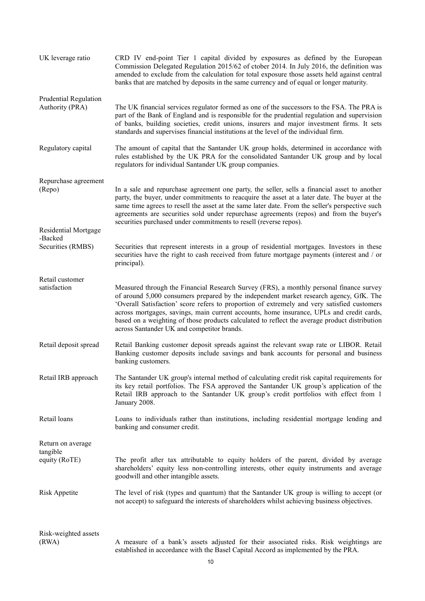| UK leverage ratio                               | CRD IV end-point Tier 1 capital divided by exposures as defined by the European<br>Commission Delegated Regulation 2015/62 of ctober 2014. In July 2016, the definition was<br>amended to exclude from the calculation for total exposure those assets held against central<br>banks that are matched by deposits in the same currency and of equal or longer maturity.                                                                                                                                                     |
|-------------------------------------------------|-----------------------------------------------------------------------------------------------------------------------------------------------------------------------------------------------------------------------------------------------------------------------------------------------------------------------------------------------------------------------------------------------------------------------------------------------------------------------------------------------------------------------------|
| <b>Prudential Regulation</b><br>Authority (PRA) | The UK financial services regulator formed as one of the successors to the FSA. The PRA is<br>part of the Bank of England and is responsible for the prudential regulation and supervision<br>of banks, building societies, credit unions, insurers and major investment firms. It sets<br>standards and supervises financial institutions at the level of the individual firm.                                                                                                                                             |
| Regulatory capital                              | The amount of capital that the Santander UK group holds, determined in accordance with<br>rules established by the UK PRA for the consolidated Santander UK group and by local<br>regulators for individual Santander UK group companies.                                                                                                                                                                                                                                                                                   |
| Repurchase agreement<br>(Repo)                  | In a sale and repurchase agreement one party, the seller, sells a financial asset to another<br>party, the buyer, under commitments to reacquire the asset at a later date. The buyer at the<br>same time agrees to resell the asset at the same later date. From the seller's perspective such<br>agreements are securities sold under repurchase agreements (repos) and from the buyer's<br>securities purchased under commitments to resell (reverse repos).                                                             |
| Residential Mortgage                            |                                                                                                                                                                                                                                                                                                                                                                                                                                                                                                                             |
| -Backed<br>Securities (RMBS)                    | Securities that represent interests in a group of residential mortgages. Investors in these<br>securities have the right to cash received from future mortgage payments (interest and / or<br>principal).                                                                                                                                                                                                                                                                                                                   |
| Retail customer                                 |                                                                                                                                                                                                                                                                                                                                                                                                                                                                                                                             |
| satisfaction                                    | Measured through the Financial Research Survey (FRS), a monthly personal finance survey<br>of around 5,000 consumers prepared by the independent market research agency, GfK. The<br>'Overall Satisfaction' score refers to proportion of extremely and very satisfied customers<br>across mortgages, savings, main current accounts, home insurance, UPLs and credit cards,<br>based on a weighting of those products calculated to reflect the average product distribution<br>across Santander UK and competitor brands. |
| Retail deposit spread                           | Retail Banking customer deposit spreads against the relevant swap rate or LIBOR. Retail<br>Banking customer deposits include savings and bank accounts for personal and business<br>banking customers.                                                                                                                                                                                                                                                                                                                      |
| Retail IRB approach                             | The Santander UK group's internal method of calculating credit risk capital requirements for<br>its key retail portfolios. The FSA approved the Santander UK group's application of the<br>Retail IRB approach to the Santander UK group's credit portfolios with effect from 1<br>January 2008.                                                                                                                                                                                                                            |
| Retail loans                                    | Loans to individuals rather than institutions, including residential mortgage lending and<br>banking and consumer credit.                                                                                                                                                                                                                                                                                                                                                                                                   |
| Return on average                               |                                                                                                                                                                                                                                                                                                                                                                                                                                                                                                                             |
| tangible                                        |                                                                                                                                                                                                                                                                                                                                                                                                                                                                                                                             |
| equity (RoTE)                                   | The profit after tax attributable to equity holders of the parent, divided by average<br>shareholders' equity less non-controlling interests, other equity instruments and average<br>goodwill and other intangible assets.                                                                                                                                                                                                                                                                                                 |
| Risk Appetite                                   | The level of risk (types and quantum) that the Santander UK group is willing to accept (or<br>not accept) to safeguard the interests of shareholders whilst achieving business objectives.                                                                                                                                                                                                                                                                                                                                  |
|                                                 |                                                                                                                                                                                                                                                                                                                                                                                                                                                                                                                             |
| Risk-weighted assets<br>(RWA)                   | A measure of a bank's assets adjusted for their associated risks. Risk weightings are<br>established in accordance with the Basel Capital Accord as implemented by the PRA.                                                                                                                                                                                                                                                                                                                                                 |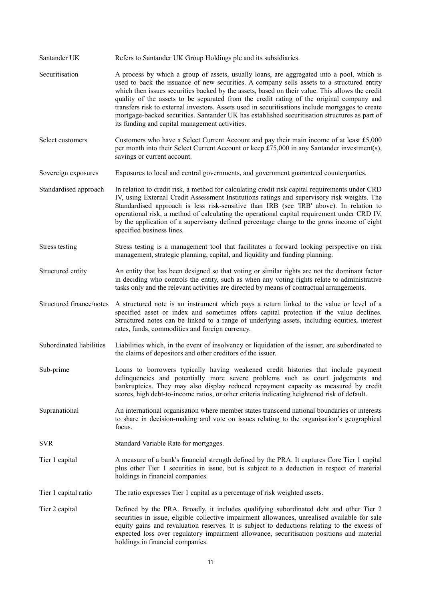- Santander UK Refers to Santander UK Group Holdings plc and its subsidiaries. Securitisation A process by which a group of assets, usually loans, are aggregated into a pool, which is used to back the issuance of new securities. A company sells assets to a structured entity which then issues securities backed by the assets, based on their value. This allows the credit
	- quality of the assets to be separated from the credit rating of the original company and transfers risk to external investors. Assets used in securitisations include mortgages to create mortgage-backed securities. Santander UK has established securitisation structures as part of its funding and capital management activities.

Select customers Customers who have a Select Current Account and pay their main income of at least £5,000 per month into their Select Current Account or keep £75,000 in any Santander investment(s), savings or current account.

Sovereign exposures Exposures to local and central governments, and government guaranteed counterparties.

- Standardised approach In relation to credit risk, a method for calculating credit risk capital requirements under CRD IV, using External Credit Assessment Institutions ratings and supervisory risk weights. The Standardised approach is less risk-sensitive than IRB (see 'IRB' above). In relation to operational risk, a method of calculating the operational capital requirement under CRD IV, by the application of a supervisory defined percentage charge to the gross income of eight specified business lines.
- Stress testing Stress testing is a management tool that facilitates a forward looking perspective on risk management, strategic planning, capital, and liquidity and funding planning.
- Structured entity An entity that has been designed so that voting or similar rights are not the dominant factor in deciding who controls the entity, such as when any voting rights relate to administrative tasks only and the relevant activities are directed by means of contractual arrangements.
- Structured finance/notes A structured note is an instrument which pays a return linked to the value or level of a specified asset or index and sometimes offers capital protection if the value declines. Structured notes can be linked to a range of underlying assets, including equities, interest rates, funds, commodities and foreign currency.
- Subordinated liabilities Liabilities which, in the event of insolvency or liquidation of the issuer, are subordinated to the claims of depositors and other creditors of the issuer.
- Sub-prime Loans to borrowers typically having weakened credit histories that include payment delinquencies and potentially more severe problems such as court judgements and bankruptcies. They may also display reduced repayment capacity as measured by credit scores, high debt-to-income ratios, or other criteria indicating heightened risk of default.
- Supranational An international organisation where member states transcend national boundaries or interests to share in decision-making and vote on issues relating to the organisation's geographical focus.
- SVR Standard Variable Rate for mortgages.
- Tier 1 capital A measure of a bank's financial strength defined by the PRA. It captures Core Tier 1 capital plus other Tier 1 securities in issue, but is subject to a deduction in respect of material holdings in financial companies.
- Tier 1 capital ratio The ratio expresses Tier 1 capital as a percentage of risk weighted assets.
- Tier 2 capital Defined by the PRA. Broadly, it includes qualifying subordinated debt and other Tier 2 securities in issue, eligible collective impairment allowances, unrealised available for sale equity gains and revaluation reserves. It is subject to deductions relating to the excess of expected loss over regulatory impairment allowance, securitisation positions and material holdings in financial companies.